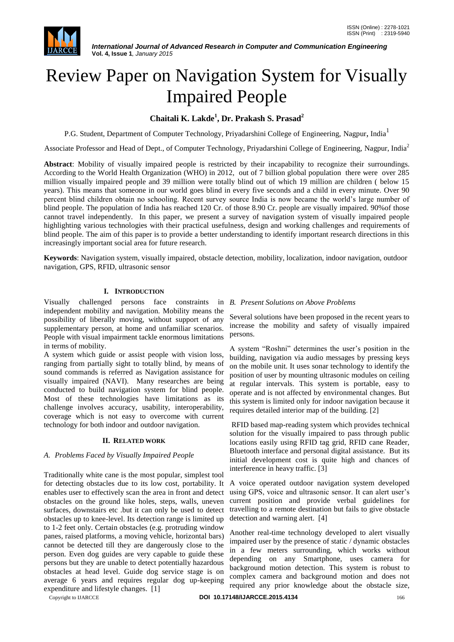*International Journal of Advanced Research in Computer and Communication Engineering* **Vol. 4, Issue 1***, January 2015*

# Review Paper on Navigation System for Visually Impaired People

## **Chaitali K. Lakde<sup>1</sup> , Dr. Prakash S. Prasad<sup>2</sup>**

P.G. Student, Department of Computer Technology, Priyadarshini College of Engineering, Nagpur, India<sup>1</sup>

Associate Professor and Head of Dept., of Computer Technology, Priyadarshini College of Engineering, Nagpur, India<sup>2</sup>

**Abstract**: Mobility of visually impaired people is restricted by their incapability to recognize their surroundings. According to the World Health Organization (WHO) in 2012, out of 7 billion global population there were over 285 million visually impaired people and 39 million were totally blind out of which 19 million are children ( below 15 years). This means that someone in our world goes blind in every five seconds and a child in every minute. Over 90 percent blind children obtain no schooling. Recent survey source India is now became the world's large number of blind people. The population of India has reached 120 Cr. of those 8.90 Cr. people are visually impaired. 90%of those cannot travel independently. In this paper, we present a survey of navigation system of visually impaired people highlighting various technologies with their practical usefulness, design and working challenges and requirements of blind people. The aim of this paper is to provide a better understanding to identify important research directions in this increasingly important social area for future research.

**Keywords**: Navigation system, visually impaired, obstacle detection, mobility, localization, indoor navigation, outdoor navigation, GPS, RFID, ultrasonic sensor

### **I. INTRODUCTION**

Visually challenged persons face constraints in *B. Present Solutions on Above Problems* independent mobility and navigation. Mobility means the possibility of liberally moving, without support of any supplementary person, at home and unfamiliar scenarios. People with visual impairment tackle enormous limitations in terms of mobility.

A system which guide or assist people with vision loss, ranging from partially sight to totally blind, by means of sound commands is referred as Navigation assistance for visually impaired (NAVI). Many researches are being conducted to build navigation system for blind people. Most of these technologies have limitations as its challenge involves accuracy, usability, interoperability, coverage which is not easy to overcome with current technology for both indoor and outdoor navigation.

### **II. RELATED WORK**

### *A. Problems Faced by Visually Impaired People*

Traditionally white cane is the most popular, simplest tool for detecting obstacles due to its low cost, portability. It enables user to effectively scan the area in front and detect obstacles on the ground like holes, steps, walls, uneven surfaces, downstairs etc .but it can only be used to detect obstacles up to knee-level. Its detection range is limited up to 1-2 feet only. Certain obstacles (e.g. protruding window panes, raised platforms, a moving vehicle, horizontal bars) cannot be detected till they are dangerously close to the person. Even dog guides are very capable to guide these persons but they are unable to detect potentially hazardous obstacles at head level. Guide dog service stage is on average 6 years and requires regular dog up-keeping expenditure and lifestyle changes. [1]

Several solutions have been proposed in the recent years to increase the mobility and safety of visually impaired persons.

A system "Roshni" determines the user's position in the building, navigation via audio messages by pressing keys on the mobile unit. It uses sonar technology to identify the position of user by mounting ultrasonic modules on ceiling at regular intervals. This system is portable, easy to operate and is not affected by environmental changes. But this system is limited only for indoor navigation because it requires detailed interior map of the building. [2]

RFID based map-reading system which provides technical solution for the visually impaired to pass through public locations easily using RFID tag grid, RFID cane Reader, Bluetooth interface and personal digital assistance. But its initial development cost is quite high and chances of interference in heavy traffic. [3]

A voice operated outdoor navigation system developed using GPS, voice and ultrasonic sensor. It can alert user's current position and provide verbal guidelines for travelling to a remote destination but fails to give obstacle detection and warning alert. [4]

Another real-time technology developed to alert visually impaired user by the presence of static / dynamic obstacles in a few meters surrounding, which works without depending on any Smartphone, uses camera for background motion detection. This system is robust to complex camera and background motion and does not required any prior knowledge about the obstacle size,

Copyright to IJARCCE **DOI 10.17148/IJARCCE.2015.4134** 166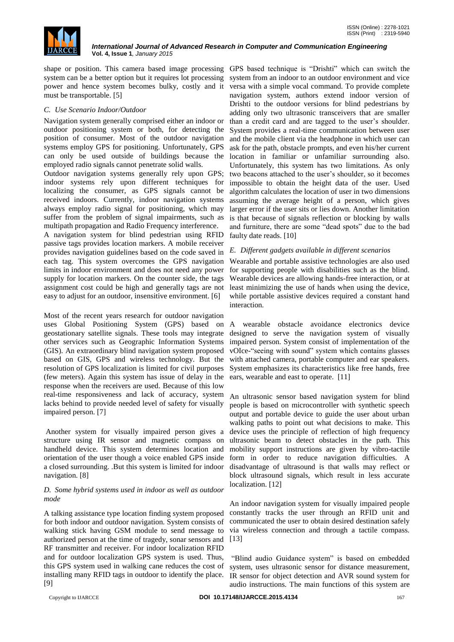

*International Journal of Advanced Research in Computer and Communication Engineering* **Vol. 4, Issue 1***, January 2015*

shape or position. This camera based image processing GPS based technique is "Drishti" which can switch the system can be a better option but it requires lot processing system from an indoor to an outdoor environment and vice power and hence system becomes bulky, costly and it versa with a simple vocal command. To provide complete must be transportable. [5]

#### *C. Use Scenario Indoor/Outdoor*

Navigation system generally comprised either an indoor or outdoor positioning system or both, for detecting the position of consumer. Most of the outdoor navigation systems employ GPS for positioning. Unfortunately, GPS can only be used outside of buildings because the employed radio signals cannot penetrate solid walls.

Outdoor navigation systems generally rely upon GPS; indoor systems rely upon different techniques for localizing the consumer, as GPS signals cannot be received indoors. Currently, indoor navigation systems always employ radio signal for positioning, which may suffer from the problem of signal impairments, such as multipath propagation and Radio Frequency interference. A navigation system for blind pedestrian using RFID passive tags provides location markers. A mobile receiver provides navigation guidelines based on the code saved in each tag. This system overcomes the GPS navigation limits in indoor environment and does not need any power supply for location markers. On the counter side, the tags assignment cost could be high and generally tags are not easy to adjust for an outdoor, insensitive environment. [6]

Most of the recent years research for outdoor navigation uses Global Positioning System (GPS) based on geostationary satellite signals. These tools may integrate other services such as Geographic Information Systems (GIS). An extraordinary blind navigation system proposed based on GIS, GPS and wireless technology. But the resolution of GPS localization is limited for civil purposes (few meters). Again this system has issue of delay in the response when the receivers are used. Because of this low real-time responsiveness and lack of accuracy, system lacks behind to provide needed level of safety for visually impaired person. [7]

Another system for visually impaired person gives a structure using IR sensor and magnetic compass on handheld device. This system determines location and orientation of the user though a voice enabled GPS inside a closed surrounding. .But this system is limited for indoor navigation. [8]

#### *D. Some hybrid systems used in indoor as well as outdoor mode*

A talking assistance type location finding system proposed for both indoor and outdoor navigation. System consists of walking stick having GSM module to send message to authorized person at the time of tragedy, sonar sensors and RF transmitter and receiver. For indoor localization RFID and for outdoor localization GPS system is used. Thus, this GPS system used in walking cane reduces the cost of installing many RFID tags in outdoor to identify the place. [9]

navigation system, authors extend indoor version of Drishti to the outdoor versions for blind pedestrians by adding only two ultrasonic transceivers that are smaller than a credit card and are tagged to the user's shoulder. System provides a real-time communication between user and the mobile client via the headphone in which user can ask for the path, obstacle prompts, and even his/her current location in familiar or unfamiliar surrounding also. Unfortunately, this system has two limitations. As only two beacons attached to the user's shoulder, so it becomes impossible to obtain the height data of the user. Used algorithm calculates the location of user in two dimensions assuming the average height of a person, which gives larger error if the user sits or lies down. Another limitation is that because of signals reflection or blocking by walls and furniture, there are some "dead spots" due to the bad faulty date reads. [10]

### *E. Different gadgets available in different scenarios*

Wearable and portable assistive technologies are also used for supporting people with disabilities such as the blind. Wearable devices are allowing hands-free interaction, or at least minimizing the use of hands when using the device, while portable assistive devices required a constant hand interaction.

A wearable obstacle avoidance electronics device designed to serve the navigation system of visually impaired person. System consist of implementation of the vOIce-"seeing with sound" system which contains glasses with attached camera, portable computer and ear speakers. System emphasizes its characteristics like free hands, free ears, wearable and east to operate. [11]

An ultrasonic sensor based navigation system for blind people is based on microcontroller with synthetic speech output and portable device to guide the user about urban walking paths to point out what decisions to make. This device uses the principle of reflection of high frequency ultrasonic beam to detect obstacles in the path. This mobility support instructions are given by vibro-tactile form in order to reduce navigation difficulties. A disadvantage of ultrasound is that walls may reflect or block ultrasound signals, which result in less accurate localization. [12]

An indoor navigation system for visually impaired people constantly tracks the user through an RFID unit and communicated the user to obtain desired destination safely via wireless connection and through a tactile compass. [13]

"Blind audio Guidance system" is based on embedded system, uses ultrasonic sensor for distance measurement, IR sensor for object detection and AVR sound system for audio instructions. The main functions of this system are